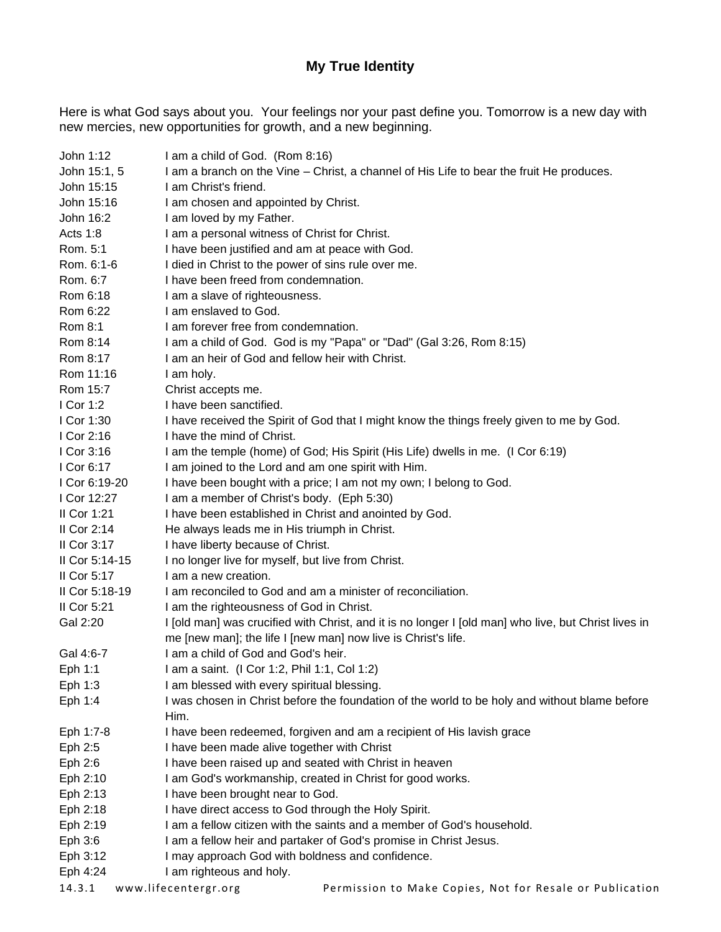## **My True Identity**

Here is what God says about you. Your feelings nor your past define you. Tomorrow is a new day with new mercies, new opportunities for growth, and a new beginning.

| John 1:12      | I am a child of God. (Rom 8:16)                                                                      |
|----------------|------------------------------------------------------------------------------------------------------|
| John 15:1, 5   | I am a branch on the Vine – Christ, a channel of His Life to bear the fruit He produces.             |
| John 15:15     | I am Christ's friend.                                                                                |
| John 15:16     | I am chosen and appointed by Christ.                                                                 |
| John 16:2      | I am loved by my Father.                                                                             |
| Acts 1:8       | I am a personal witness of Christ for Christ.                                                        |
| Rom. 5:1       | I have been justified and am at peace with God.                                                      |
| Rom. 6:1-6     | I died in Christ to the power of sins rule over me.                                                  |
| Rom. 6:7       | I have been freed from condemnation.                                                                 |
| Rom 6:18       | I am a slave of righteousness.                                                                       |
| Rom 6:22       | I am enslaved to God.                                                                                |
| Rom 8:1        | I am forever free from condemnation.                                                                 |
| Rom 8:14       | I am a child of God. God is my "Papa" or "Dad" (Gal 3:26, Rom 8:15)                                  |
| Rom 8:17       | I am an heir of God and fellow heir with Christ.                                                     |
| Rom 11:16      | I am holy.                                                                                           |
|                |                                                                                                      |
| Rom 15:7       | Christ accepts me.                                                                                   |
| I Cor 1:2      | I have been sanctified.                                                                              |
| I Cor 1:30     | I have received the Spirit of God that I might know the things freely given to me by God.            |
| I Cor 2:16     | I have the mind of Christ.                                                                           |
| I Cor 3:16     | I am the temple (home) of God; His Spirit (His Life) dwells in me. (I Cor 6:19)                      |
| I Cor 6:17     | I am joined to the Lord and am one spirit with Him.                                                  |
| I Cor 6:19-20  | I have been bought with a price; I am not my own; I belong to God.                                   |
| I Cor 12:27    | I am a member of Christ's body. (Eph 5:30)                                                           |
| II Cor 1:21    | I have been established in Christ and anointed by God.                                               |
| II Cor $2:14$  | He always leads me in His triumph in Christ.                                                         |
| II Cor $3:17$  | I have liberty because of Christ.                                                                    |
| II Cor 5:14-15 | I no longer live for myself, but live from Christ.                                                   |
| II Cor $5:17$  | I am a new creation.                                                                                 |
| II Cor 5:18-19 | I am reconciled to God and am a minister of reconciliation.                                          |
| II Cor 5:21    | I am the righteousness of God in Christ.                                                             |
| Gal 2:20       | I [old man] was crucified with Christ, and it is no longer I [old man] who live, but Christ lives in |
|                | me [new man]; the life I [new man] now live is Christ's life.                                        |
| Gal 4:6-7      | I am a child of God and God's heir.                                                                  |
| Eph 1:1        | I am a saint. (I Cor 1:2, Phil 1:1, Col 1:2)                                                         |
| Eph 1:3        | I am blessed with every spiritual blessing.                                                          |
| Eph 1:4        | I was chosen in Christ before the foundation of the world to be holy and without blame before        |
|                | Him.                                                                                                 |
| Eph 1:7-8      | I have been redeemed, forgiven and am a recipient of His lavish grace                                |
| Eph 2:5        | I have been made alive together with Christ                                                          |
| Eph 2:6        | I have been raised up and seated with Christ in heaven                                               |
| Eph 2:10       | I am God's workmanship, created in Christ for good works.                                            |
| Eph 2:13       | I have been brought near to God.                                                                     |
| Eph 2:18       | I have direct access to God through the Holy Spirit.                                                 |
| Eph 2:19       | I am a fellow citizen with the saints and a member of God's household.                               |
| Eph 3:6        | I am a fellow heir and partaker of God's promise in Christ Jesus.                                    |
| Eph 3:12       | I may approach God with boldness and confidence.                                                     |
| Eph 4:24       | I am righteous and holy.                                                                             |
| 14.3.1         | www.lifecentergr.org<br>Permission to Make Copies, Not for Resale or Publication                     |
|                |                                                                                                      |